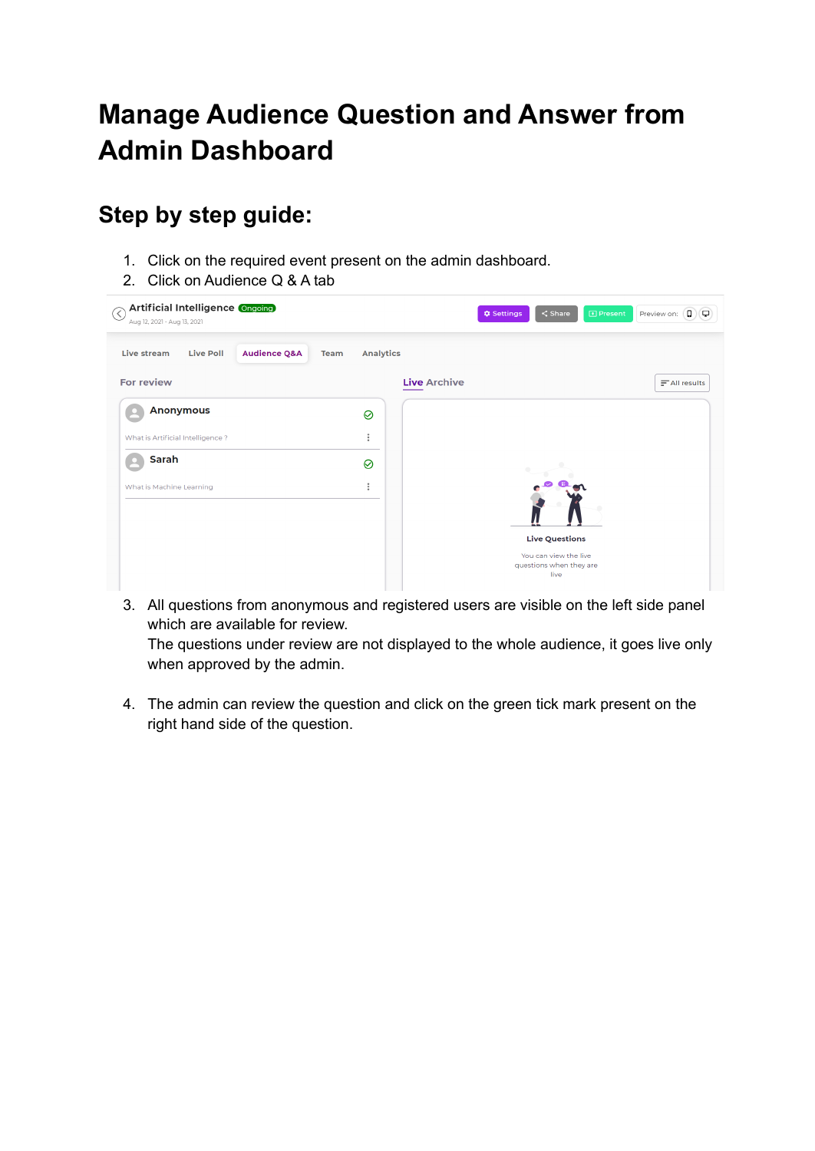## **Manage Audience Question and Answer from Admin Dashboard**

## **Step by step guide:**

- 1. Click on the required event present on the admin dashboard.
- 2. Click on Audience Q & A tab

| Artificial Intelligence Ongoing<br>⊘<br>Aug 12, 2021 - Aug 13, 2021              |                  | D Present<br><b>C</b> Settings<br>$\leq$ Share           | $\left( 0\right)  \left( 0\right)$<br>Preview on: |
|----------------------------------------------------------------------------------|------------------|----------------------------------------------------------|---------------------------------------------------|
| Live stream<br><b>Live Poll</b><br><b>Audience Q&amp;A</b><br>Team<br>For review | <b>Analytics</b> | <b>Live Archive</b>                                      | $\equiv$ All results                              |
| <b>Anonymous</b><br>What is Artificial Intelligence?                             | ⊘<br>$\vdots$    |                                                          |                                                   |
| Sarah<br>What is Machine Learning                                                | ⊘<br>$\vdots$    |                                                          |                                                   |
|                                                                                  |                  | <b>Live Questions</b>                                    |                                                   |
|                                                                                  |                  | You can view the live<br>questions when they are<br>live |                                                   |

3. All questions from anonymous and registered users are visible on the left side panel which are available for review.

The questions under review are not displayed to the whole audience, it goes live only when approved by the admin.

4. The admin can review the question and click on the green tick mark present on the right hand side of the question.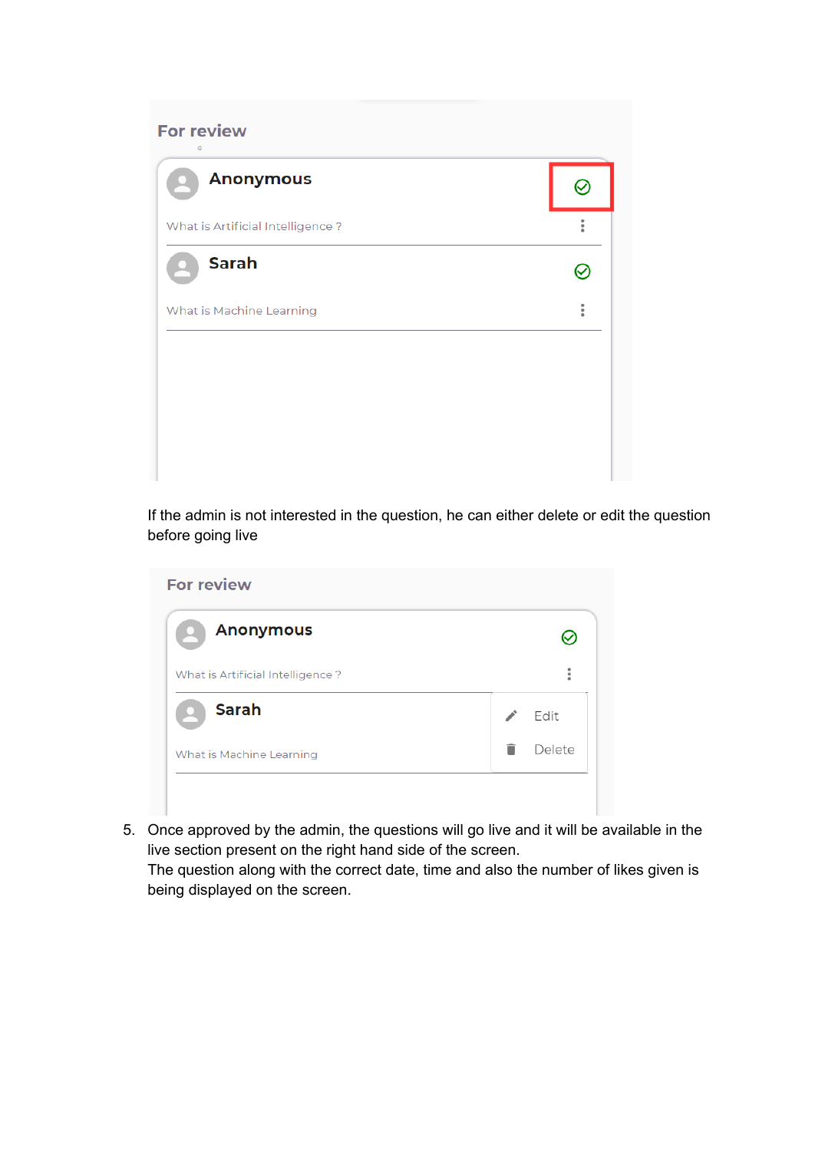| $\mathcal{V}_{\rm{c2}}^{\rm{S}}$<br><b>Anonymous</b> |                      |
|------------------------------------------------------|----------------------|
| What is Artificial Intelligence?                     | $\ddot{\phantom{a}}$ |
| <b>Sarah</b>                                         |                      |
| What is Machine Learning                             | $\ddot{\phantom{a}}$ |
|                                                      |                      |
|                                                      |                      |
|                                                      |                      |

If the admin is not interested in the question, he can either delete or edit the question before going live

| <b>Anonymous</b>                 |                      |
|----------------------------------|----------------------|
| What is Artificial Intelligence? | $\ddot{\phantom{a}}$ |
| <b>Sarah</b>                     | Edit                 |
| What is Machine Learning         | Delete               |

5. Once approved by the admin, the questions will go live and it will be available in the live section present on the right hand side of the screen.

The question along with the correct date, time and also the number of likes given is being displayed on the screen.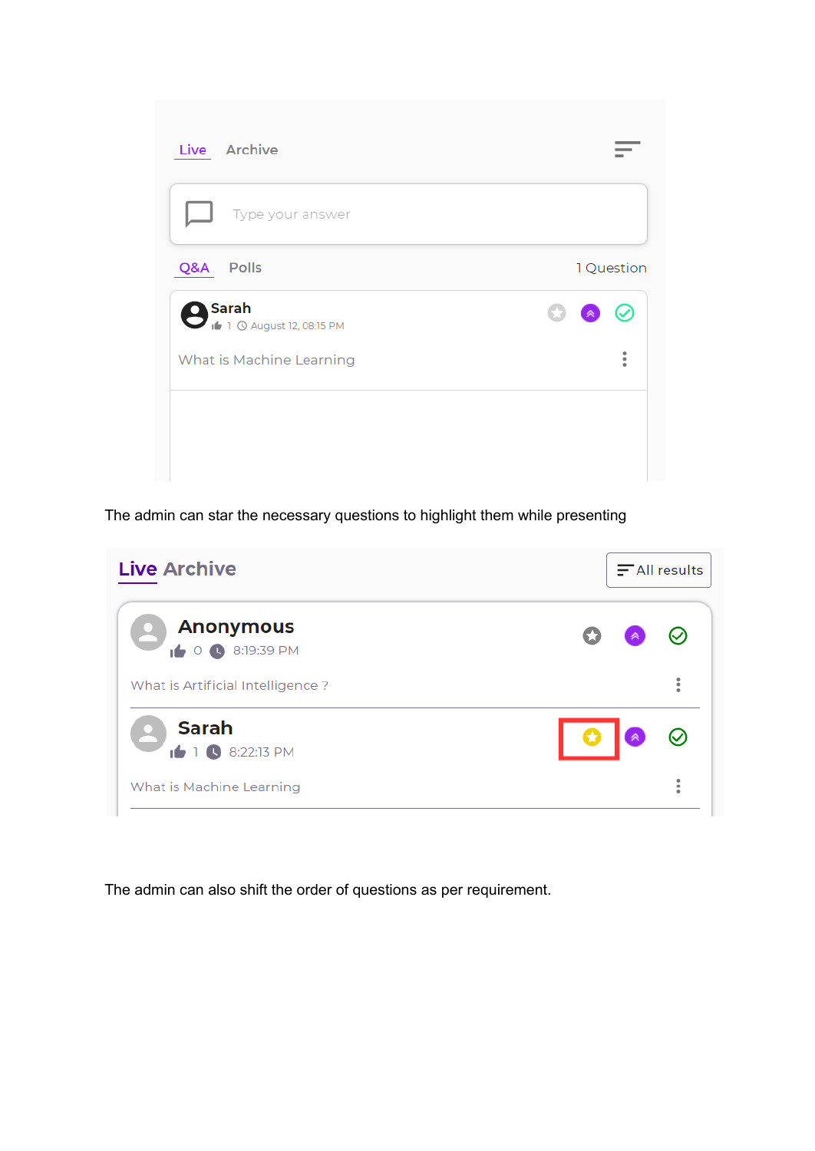| Live Archive                              |                            |
|-------------------------------------------|----------------------------|
| Type your answer                          |                            |
| Q&A<br>Polls                              | 1 Question                 |
| Sarah<br>Saran<br>1 0 August 12, 08:15 PM | œ<br>⊘<br>$\triangleright$ |
| What is Machine Learning                  | $\ddot{\phantom{a}}$       |
|                                           |                            |
|                                           |                            |

The admin can star the necessary questions to highlight them while presenting

| <b>Live Archive</b>                              | $\equiv$ All results |
|--------------------------------------------------|----------------------|
| <b>Anonymous</b><br>0 3:19:39 PM                 | 一《                   |
| What is Artificial Intelligence?                 | $\ddot{\phantom{a}}$ |
| <b>Sarah</b><br>$\bullet$ 1 $\bullet$ 8:22:13 PM |                      |
| What is Machine Learning                         |                      |

The admin can also shift the order of questions as per requirement.